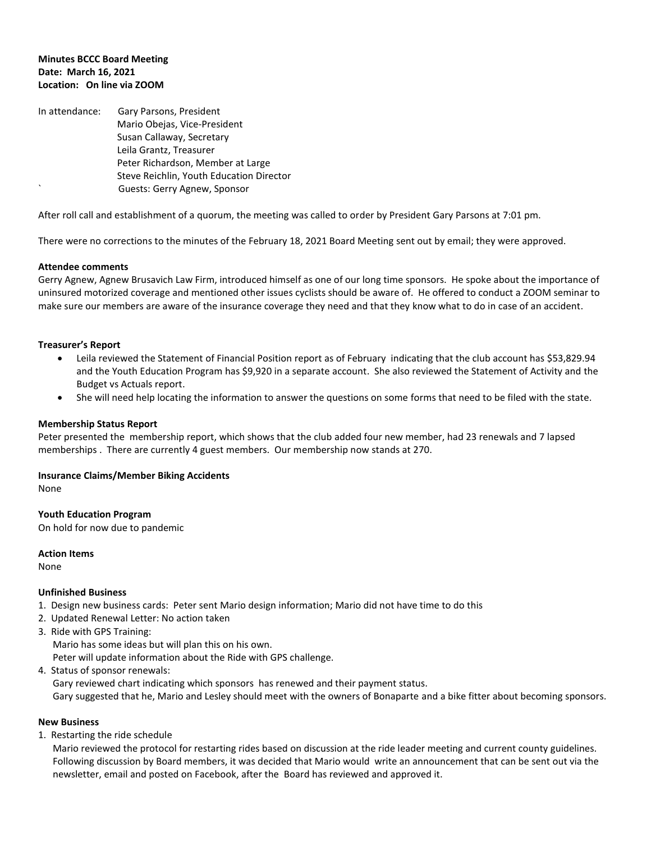## **Minutes BCCC Board Meeting Date: March 16, 2021 Location: On line via ZOOM**

In attendance: Gary Parsons, President Mario Obejas, Vice-President Susan Callaway, Secretary Leila Grantz, Treasurer Peter Richardson, Member at Large Steve Reichlin, Youth Education Director Guests: Gerry Agnew, Sponsor

After roll call and establishment of a quorum, the meeting was called to order by President Gary Parsons at 7:01 pm.

There were no corrections to the minutes of the February 18, 2021 Board Meeting sent out by email; they were approved.

### **Attendee comments**

Gerry Agnew, Agnew Brusavich Law Firm, introduced himself as one of our long time sponsors. He spoke about the importance of uninsured motorized coverage and mentioned other issues cyclists should be aware of. He offered to conduct a ZOOM seminar to make sure our members are aware of the insurance coverage they need and that they know what to do in case of an accident.

### **Treasurer's Report**

- Leila reviewed the Statement of Financial Position report as of February indicating that the club account has \$53,829.94 and the Youth Education Program has \$9,920 in a separate account. She also reviewed the Statement of Activity and the Budget vs Actuals report.
- She will need help locating the information to answer the questions on some forms that need to be filed with the state.

#### **Membership Status Report**

Peter presented the membership report, which shows that the club added four new member, had 23 renewals and 7 lapsed memberships . There are currently 4 guest members. Our membership now stands at 270.

#### **Insurance Claims/Member Biking Accidents**

None

**Youth Education Program** On hold for now due to pandemic

**Action Items**

None

#### **Unfinished Business**

- 1. Design new business cards: Peter sent Mario design information; Mario did not have time to do this
- 2. Updated Renewal Letter: No action taken
- 3. Ride with GPS Training:
	- Mario has some ideas but will plan this on his own.

Peter will update information about the Ride with GPS challenge.

4. Status of sponsor renewals:

Gary reviewed chart indicating which sponsors has renewed and their payment status.

Gary suggested that he, Mario and Lesley should meet with the owners of Bonaparte and a bike fitter about becoming sponsors.

## **New Business**

1. Restarting the ride schedule

 Mario reviewed the protocol for restarting rides based on discussion at the ride leader meeting and current county guidelines. Following discussion by Board members, it was decided that Mario would write an announcement that can be sent out via the newsletter, email and posted on Facebook, after the Board has reviewed and approved it.